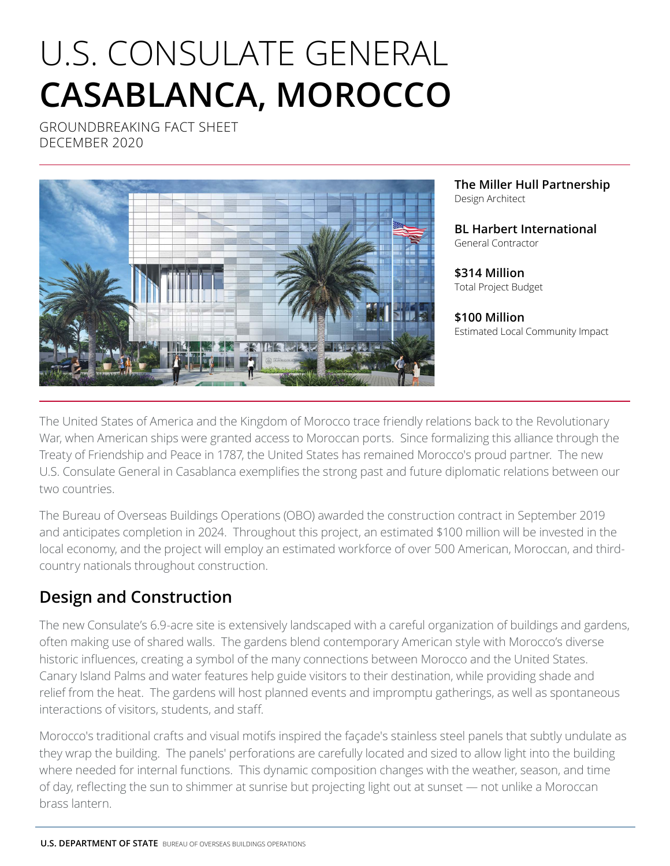# U.S. CONSULATE GENERAL **CASABLANCA, MOROCCO**

GROUNDBREAKING FACT SHEET DECEMBER 2020



**The Miller Hull Partnership** Design Architect

**BL Harbert International** General Contractor

**\$314 Million** Total Project Budget

**\$100 Million** Estimated Local Community Impact

The United States of America and the Kingdom of Morocco trace friendly relations back to the Revolutionary War, when American ships were granted access to Moroccan ports. Since formalizing this alliance through the Treaty of Friendship and Peace in 1787, the United States has remained Morocco's proud partner. The new U.S. Consulate General in Casablanca exemplifies the strong past and future diplomatic relations between our two countries.

The Bureau of Overseas Buildings Operations (OBO) awarded the construction contract in September 2019 and anticipates completion in 2024. Throughout this project, an estimated \$100 million will be invested in the local economy, and the project will employ an estimated workforce of over 500 American, Moroccan, and thirdcountry nationals throughout construction.

## **Design and Construction**

The new Consulate's 6.9-acre site is extensively landscaped with a careful organization of buildings and gardens, often making use of shared walls. The gardens blend contemporary American style with Morocco's diverse historic influences, creating a symbol of the many connections between Morocco and the United States. Canary Island Palms and water features help guide visitors to their destination, while providing shade and relief from the heat. The gardens will host planned events and impromptu gatherings, as well as spontaneous interactions of visitors, students, and staff.

Morocco's traditional crafts and visual motifs inspired the façade's stainless steel panels that subtly undulate as they wrap the building. The panels' perforations are carefully located and sized to allow light into the building where needed for internal functions. This dynamic composition changes with the weather, season, and time of day, reflecting the sun to shimmer at sunrise but projecting light out at sunset — not unlike a Moroccan brass lantern.